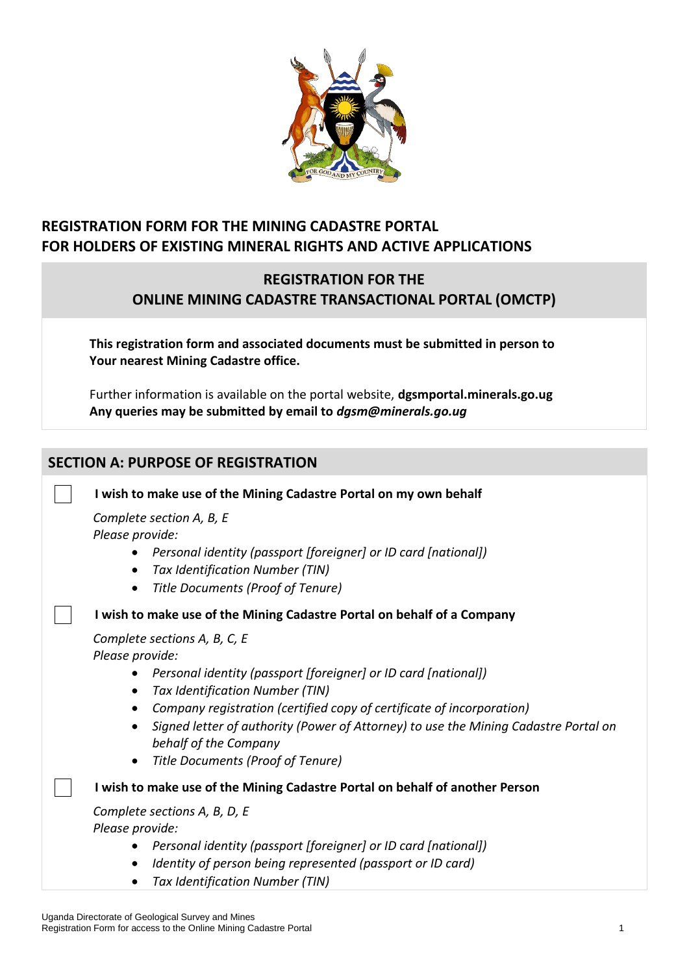

## **REGISTRATION FORM FOR THE MINING CADASTRE PORTAL FOR HOLDERS OF EXISTING MINERAL RIGHTS AND ACTIVE APPLICATIONS**

## **REGISTRATION FOR THE ONLINE MINING CADASTRE TRANSACTIONAL PORTAL (OMCTP)**

**This registration form and associated documents must be submitted in person to Your nearest Mining Cadastre office.**

Further information is available on the portal website, **dgsmportal.minerals.go.ug Any queries may be submitted by email to** *dgsm@minerals.go.ug*

# **SECTION A: PURPOSE OF REGISTRATION I wish to make use of the Mining Cadastre Portal on my own behalf** *Complete section A, B, E Please provide:* • *Personal identity (passport [foreigner] or ID card [national])* • *Tax Identification Number (TIN)* • *Title Documents (Proof of Tenure)* **I wish to make use of the Mining Cadastre Portal on behalf of a Company** *Complete sections A, B, C, E Please provide:* • *Personal identity (passport [foreigner] or ID card [national])* • *Tax Identification Number (TIN)* • *Company registration (certified copy of certificate of incorporation)*  • *Signed letter of authority (Power of Attorney) to use the Mining Cadastre Portal on behalf of the Company* • *Title Documents (Proof of Tenure)* **I wish to make use of the Mining Cadastre Portal on behalf of another Person** *Complete sections A, B, D, E Please provide:* • *Personal identity (passport [foreigner] or ID card [national])* • *Identity of person being represented (passport or ID card)* • *Tax Identification Number (TIN)*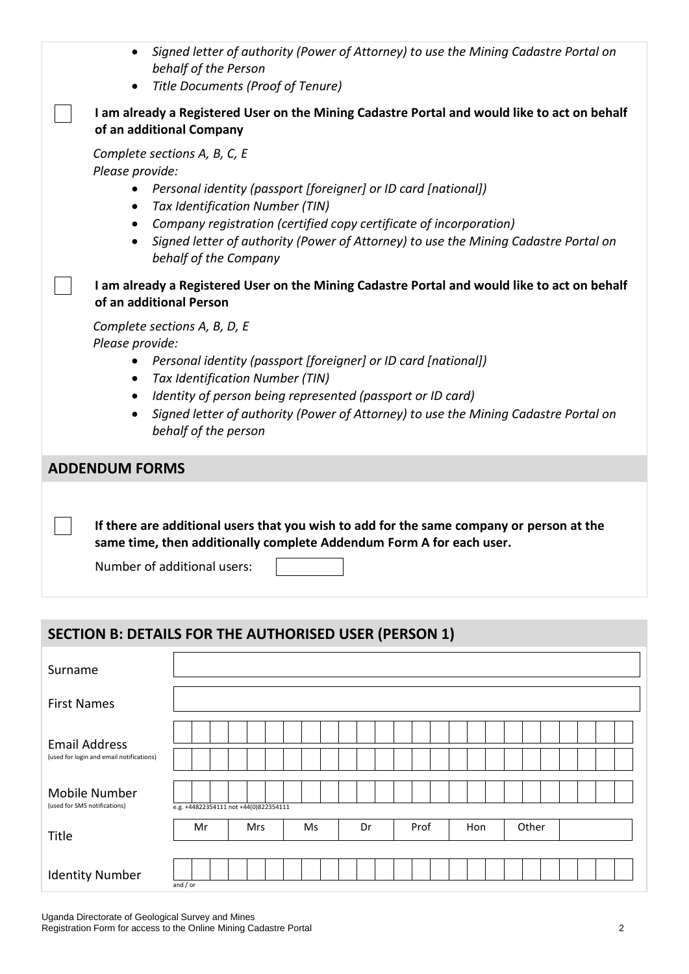| • Signed letter of authority (Power of Attorney) to use the Mining Cadastre Portal on |
|---------------------------------------------------------------------------------------|
| behalf of the Person                                                                  |

• *Title Documents (Proof of Tenure)*

#### **I am already a Registered User on the Mining Cadastre Portal and would like to act on behalf of an additional Company**

*Complete sections A, B, C, E*

*Please provide:*

- *Personal identity (passport [foreigner] or ID card [national])*
- *Tax Identification Number (TIN)*
- *Company registration (certified copy certificate of incorporation)*
- *Signed letter of authority (Power of Attorney) to use the Mining Cadastre Portal on behalf of the Company*

**I am already a Registered User on the Mining Cadastre Portal and would like to act on behalf of an additional Person**

*Complete sections A, B, D, E Please provide:*

- *Personal identity (passport [foreigner] or ID card [national])*
- *Tax Identification Number (TIN)*
- *Identity of person being represented (passport or ID card)*
- *Signed letter of authority (Power of Attorney) to use the Mining Cadastre Portal on behalf of the person*

#### **ADDENDUM FORMS**

**If there are additional users that you wish to add for the same company or person at the same time, then additionally complete Addendum Form A for each user.**

Number of additional users:

### **SECTION B: DETAILS FOR THE AUTHORISED USER (PERSON 1)**

| Surname                                                          |                                       |    |            |  |    |  |    |  |      |  |     |  |       |  |  |  |
|------------------------------------------------------------------|---------------------------------------|----|------------|--|----|--|----|--|------|--|-----|--|-------|--|--|--|
| <b>First Names</b>                                               |                                       |    |            |  |    |  |    |  |      |  |     |  |       |  |  |  |
| <b>Email Address</b><br>(used for login and email notifications) |                                       |    |            |  |    |  |    |  |      |  |     |  |       |  |  |  |
| <b>Mobile Number</b><br>(used for SMS notifications)             | e.g. +44822354111 not +44(0)822354111 |    |            |  |    |  |    |  |      |  |     |  |       |  |  |  |
| Title                                                            |                                       | Mr | <b>Mrs</b> |  | Ms |  | Dr |  | Prof |  | Hon |  | Other |  |  |  |
| <b>Identity Number</b>                                           | and $/$ or                            |    |            |  |    |  |    |  |      |  |     |  |       |  |  |  |

Uganda Directorate of Geological Survey and Mines Registration Form for access to the Online Mining Cadastre Portal 2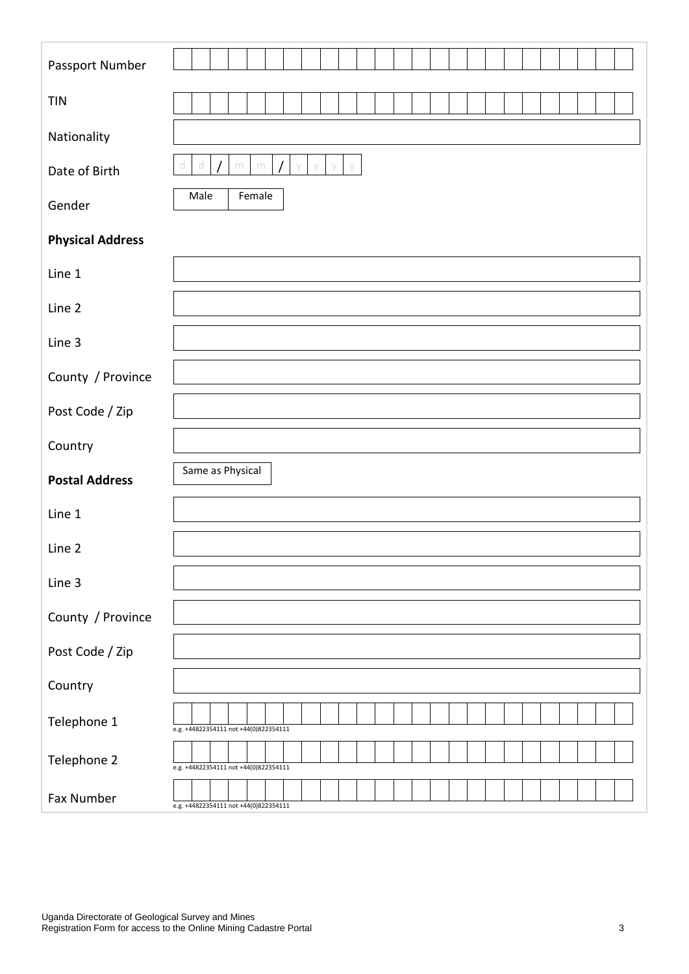| Passport Number         |                                                          |
|-------------------------|----------------------------------------------------------|
| <b>TIN</b>              |                                                          |
| Nationality             |                                                          |
| Date of Birth           | d<br>$\,$ m $\,$<br>$\vee$<br>$\,$ m<br>У<br>d<br>y<br>V |
| Gender                  | Male<br>Female                                           |
| <b>Physical Address</b> |                                                          |
| Line 1                  |                                                          |
| Line 2                  |                                                          |
| Line 3                  |                                                          |
| County / Province       |                                                          |
| Post Code / Zip         |                                                          |
| Country                 |                                                          |
| <b>Postal Address</b>   | Same as Physical                                         |
| Line 1                  |                                                          |
| Line 2                  |                                                          |
| Line 3                  |                                                          |
| County / Province       |                                                          |
| Post Code / Zip         |                                                          |
| Country                 |                                                          |
| Telephone 1             | e.g. +44822354111 not +44(0)822354111                    |
| Telephone 2             | e.g. +44822354111 not +44(0)822354111                    |
| Fax Number              | e.g. +44822354111 not +44(0)822354111                    |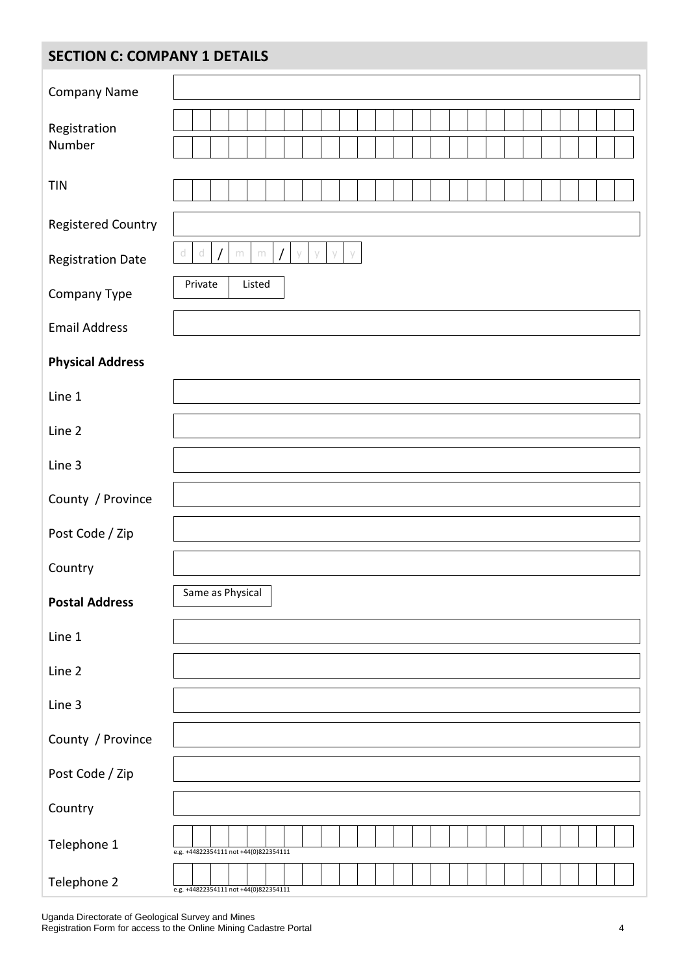# **SECTION C: COMPANY 1 DETAILS**

| Company Name             |                                              |
|--------------------------|----------------------------------------------|
| Registration             |                                              |
| Number                   |                                              |
| <b>TIN</b>               |                                              |
| Registered Country       |                                              |
| <b>Registration Date</b> | d<br>d<br>y<br>y<br>m<br>${\rm m}$<br>V<br>V |
| Company Type             | Private<br>Listed                            |
| <b>Email Address</b>     |                                              |
| <b>Physical Address</b>  |                                              |
| Line 1                   |                                              |
| Line 2                   |                                              |
| Line 3                   |                                              |
| County / Province        |                                              |
| Post Code / Zip          |                                              |
| Country                  |                                              |
| <b>Postal Address</b>    | Same as Physical                             |
| Line 1                   |                                              |
| Line 2                   |                                              |
| Line 3                   |                                              |
| County / Province        |                                              |
| Post Code / Zip          |                                              |
| Country                  |                                              |
| Telephone 1              | e.g. +44822354111 not +44(0)822354111        |
| Telephone 2              | e.g. +44822354111 not +44(0)822354111        |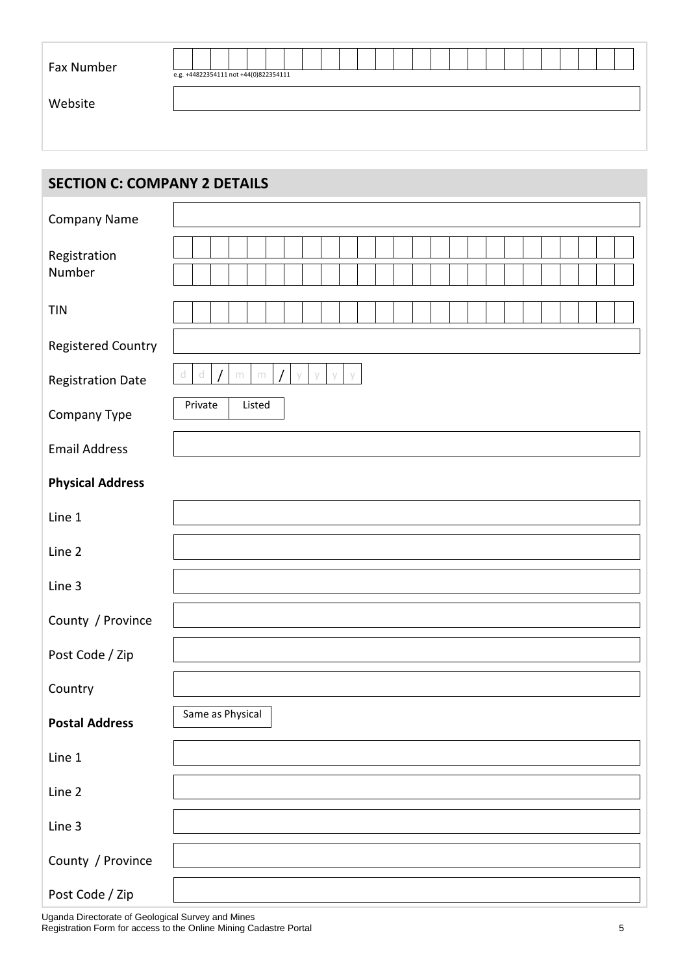| Fax Number | e.g. +44822354111 not +44(0)822354111 |  |  |  |  |  |  |  |  |  |  |  |  |
|------------|---------------------------------------|--|--|--|--|--|--|--|--|--|--|--|--|
| Website    |                                       |  |  |  |  |  |  |  |  |  |  |  |  |
|            |                                       |  |  |  |  |  |  |  |  |  |  |  |  |

| <b>SECTION C: COMPANY 2 DETAILS</b> |                                                   |
|-------------------------------------|---------------------------------------------------|
| Company Name                        |                                                   |
| Registration<br>Number              |                                                   |
| <b>TIN</b>                          |                                                   |
| <b>Registered Country</b>           |                                                   |
| <b>Registration Date</b>            | d<br>d<br>y<br>$\,$ m<br>${\rm m}$<br>y<br>У<br>y |
| Company Type                        | Private<br>Listed                                 |
| <b>Email Address</b>                |                                                   |
| <b>Physical Address</b>             |                                                   |
| Line 1                              |                                                   |
| Line 2                              |                                                   |
| Line 3                              |                                                   |
| County / Province                   |                                                   |
| Post Code / Zip                     |                                                   |
| Country                             |                                                   |
| <b>Postal Address</b>               | Same as Physical                                  |
| Line 1                              |                                                   |
| Line 2                              |                                                   |
| Line 3                              |                                                   |
| County / Province                   |                                                   |
| Post Code / Zip                     |                                                   |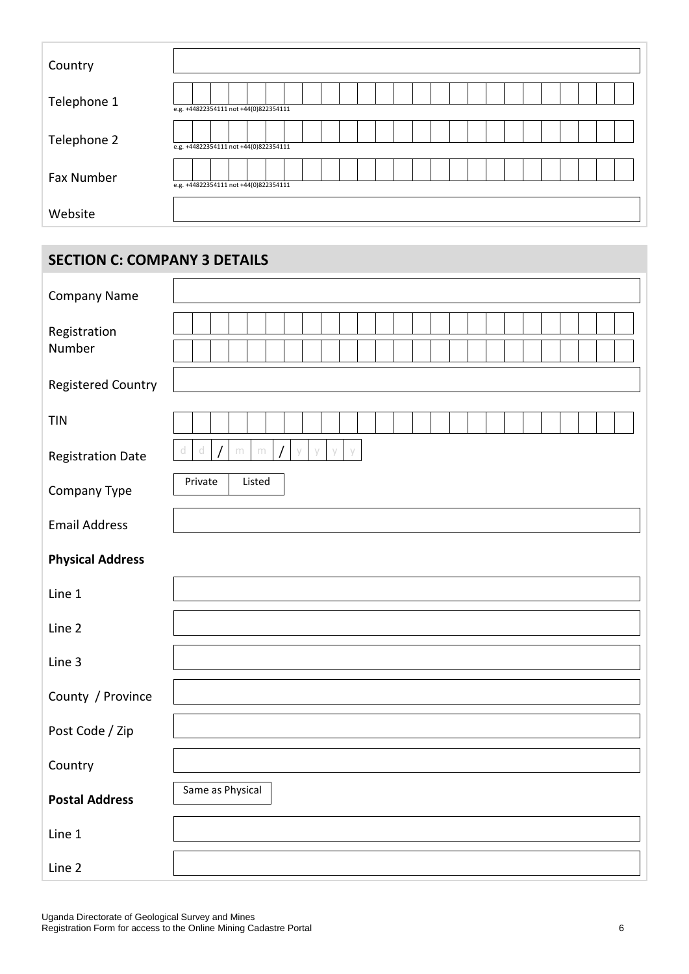| Country           |                                       |
|-------------------|---------------------------------------|
| Telephone 1       | e.g. +44822354111 not +44(0)822354111 |
| Telephone 2       | e.g. +44822354111 not +44(0)822354111 |
| <b>Fax Number</b> | e.g. +44822354111 not +44(0)822354111 |
| Website           |                                       |

## **SECTION C: COMPANY 3 DETAILS**

| <b>Company Name</b>       |                                            |
|---------------------------|--------------------------------------------|
| Registration<br>Number    |                                            |
| <b>Registered Country</b> |                                            |
| <b>TIN</b>                |                                            |
| <b>Registration Date</b>  | $\mathbb{C}$<br>d<br>$\,$ m<br>$\,$ m<br>V |
| Company Type              | Private<br>Listed                          |
| <b>Email Address</b>      |                                            |
| <b>Physical Address</b>   |                                            |
| Line 1                    |                                            |
| Line 2                    |                                            |
| Line 3                    |                                            |
| County / Province         |                                            |
| Post Code / Zip           |                                            |
| Country                   |                                            |
| <b>Postal Address</b>     | Same as Physical                           |
| Line 1                    |                                            |
| Line 2                    |                                            |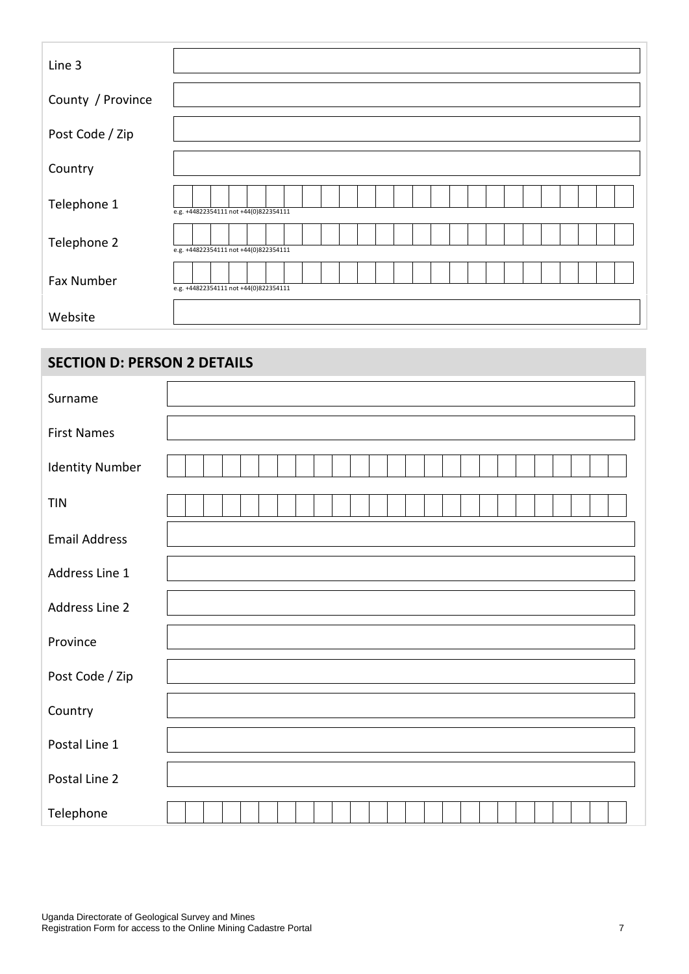| Line 3            |                                       |  |  |  |  |  |  |  |  |  |  |  |
|-------------------|---------------------------------------|--|--|--|--|--|--|--|--|--|--|--|
| County / Province |                                       |  |  |  |  |  |  |  |  |  |  |  |
| Post Code / Zip   |                                       |  |  |  |  |  |  |  |  |  |  |  |
| Country           |                                       |  |  |  |  |  |  |  |  |  |  |  |
| Telephone 1       | e.g. +44822354111 not +44(0)822354111 |  |  |  |  |  |  |  |  |  |  |  |
| Telephone 2       | e.g. +44822354111 not +44(0)822354111 |  |  |  |  |  |  |  |  |  |  |  |
| <b>Fax Number</b> | e.g. +44822354111 not +44(0)822354111 |  |  |  |  |  |  |  |  |  |  |  |
| Website           |                                       |  |  |  |  |  |  |  |  |  |  |  |

## **SECTION D: PERSON 2 DETAILS**

| Surname                |  |
|------------------------|--|
| <b>First Names</b>     |  |
| <b>Identity Number</b> |  |
| <b>TIN</b>             |  |
| <b>Email Address</b>   |  |
| Address Line 1         |  |
| Address Line 2         |  |
| Province               |  |
| Post Code / Zip        |  |
| Country                |  |
| Postal Line 1          |  |
| Postal Line 2          |  |
| Telephone              |  |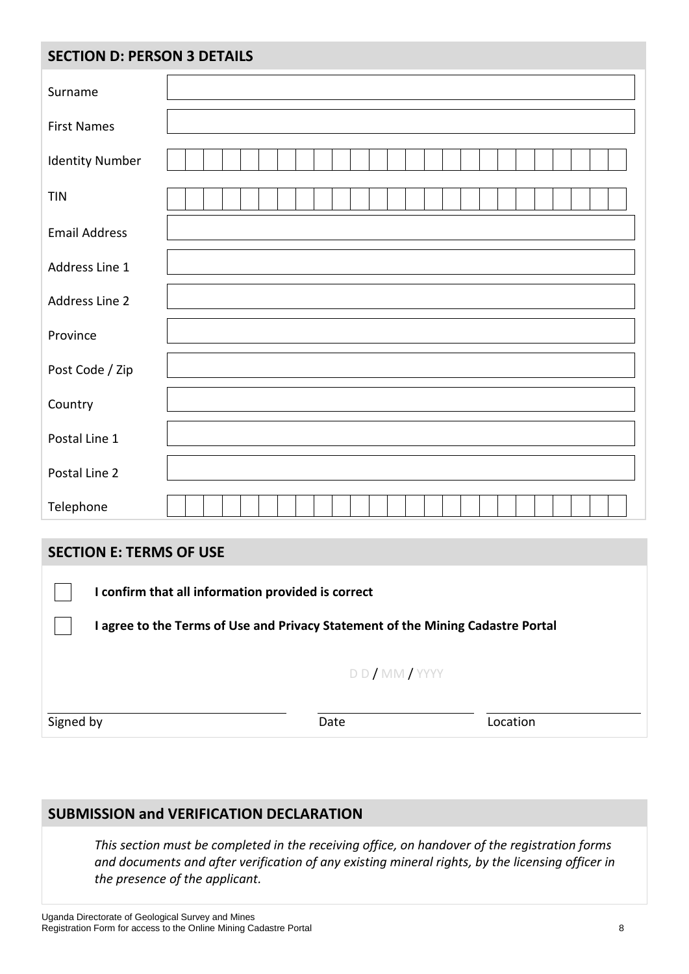## **SECTION D: PERSON 3 DETAILS**

| Surname                |  |
|------------------------|--|
| <b>First Names</b>     |  |
| <b>Identity Number</b> |  |
| <b>TIN</b>             |  |
| <b>Email Address</b>   |  |
| Address Line 1         |  |
| Address Line 2         |  |
| Province               |  |
| Post Code / Zip        |  |
| Country                |  |
| Postal Line 1          |  |
| Postal Line 2          |  |
| Telephone              |  |

## **SECTION E: TERMS OF USE**

**I confirm that all information provided is correct**

**I agree to the Terms of Use and Privacy Statement of the Mining Cadastre Portal**

#### D D / MM / YYYY

Signed by

Date **Location** 

### **SUBMISSION and VERIFICATION DECLARATION**

*This section must be completed in the receiving office, on handover of the registration forms and documents and after verification of any existing mineral rights, by the licensing officer in the presence of the applicant.*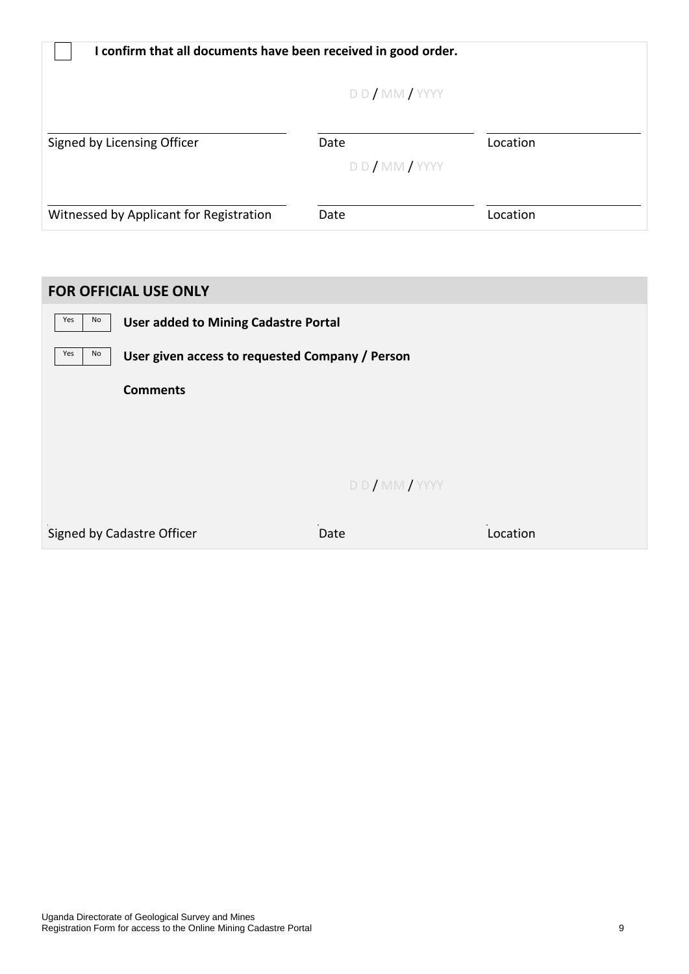| I confirm that all documents have been received in good order. |                    |          |  |  |  |  |  |  |  |  |  |  |
|----------------------------------------------------------------|--------------------|----------|--|--|--|--|--|--|--|--|--|--|
| DD/MM/YYY                                                      |                    |          |  |  |  |  |  |  |  |  |  |  |
| Signed by Licensing Officer                                    | Date<br>DD/MM/YYYY | Location |  |  |  |  |  |  |  |  |  |  |
| Witnessed by Applicant for Registration                        | Date               | Location |  |  |  |  |  |  |  |  |  |  |

## **FOR OFFICIAL USE ONLY**

| Yes<br>No | <b>User added to Mining Cadastre Portal</b>     |           |          |  |  |  |  |  |
|-----------|-------------------------------------------------|-----------|----------|--|--|--|--|--|
| Yes<br>No | User given access to requested Company / Person |           |          |  |  |  |  |  |
|           | <b>Comments</b>                                 |           |          |  |  |  |  |  |
|           |                                                 |           |          |  |  |  |  |  |
|           |                                                 |           |          |  |  |  |  |  |
|           |                                                 | DD/MM/YYY |          |  |  |  |  |  |
|           | Signed by Cadastre Officer                      | Date      | Location |  |  |  |  |  |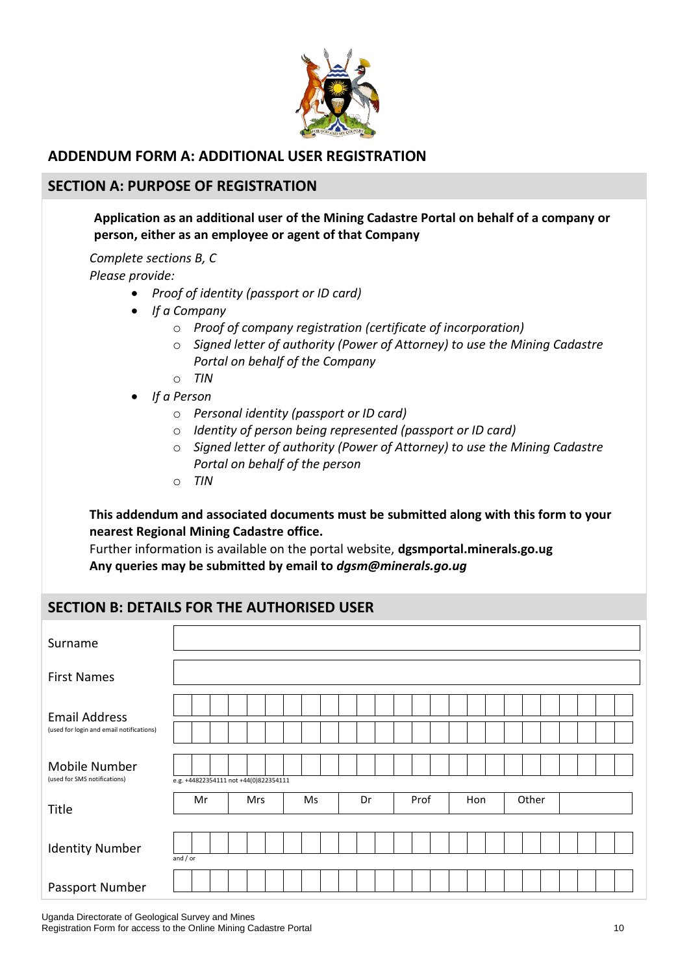

### **ADDENDUM FORM A: ADDITIONAL USER REGISTRATION**

#### **SECTION A: PURPOSE OF REGISTRATION**

#### **Application as an additional user of the Mining Cadastre Portal on behalf of a company or person, either as an employee or agent of that Company**

*Complete sections B, C Please provide:*

- *Proof of identity (passport or ID card)*
- *If a Company*
	- o *Proof of company registration (certificate of incorporation)*
	- o *Signed letter of authority (Power of Attorney) to use the Mining Cadastre Portal on behalf of the Company*
	- o *TIN*
- *If a Person*
	- o *Personal identity (passport or ID card)*
	- o *Identity of person being represented (passport or ID card)*
	- o *Signed letter of authority (Power of Attorney) to use the Mining Cadastre Portal on behalf of the person*
	- o *TIN*

#### **This addendum and associated documents must be submitted along with this form to your nearest Regional Mining Cadastre office.**

Further information is available on the portal website, **dgsmportal.minerals.go.ug Any queries may be submitted by email to** *dgsm@minerals.go.ug*

#### **SECTION B: DETAILS FOR THE AUTHORISED USER**

| Surname                                                          |                                       |  |    |  |    |  |      |  |     |  |       |  |  |  |  |  |
|------------------------------------------------------------------|---------------------------------------|--|----|--|----|--|------|--|-----|--|-------|--|--|--|--|--|
| <b>First Names</b>                                               |                                       |  |    |  |    |  |      |  |     |  |       |  |  |  |  |  |
| <b>Email Address</b><br>(used for login and email notifications) |                                       |  |    |  |    |  |      |  |     |  |       |  |  |  |  |  |
| Mobile Number<br>(used for SMS notifications)                    | e.g. +44822354111 not +44(0)822354111 |  |    |  |    |  |      |  |     |  |       |  |  |  |  |  |
| Title                                                            | Mr<br><b>Mrs</b>                      |  | Ms |  | Dr |  | Prof |  | Hon |  | Other |  |  |  |  |  |
| <b>Identity Number</b>                                           | and $/$ or                            |  |    |  |    |  |      |  |     |  |       |  |  |  |  |  |
| Passport Number                                                  |                                       |  |    |  |    |  |      |  |     |  |       |  |  |  |  |  |

Uganda Directorate of Geological Survey and Mines Registration Form for access to the Online Mining Cadastre Portal 10<br>
10